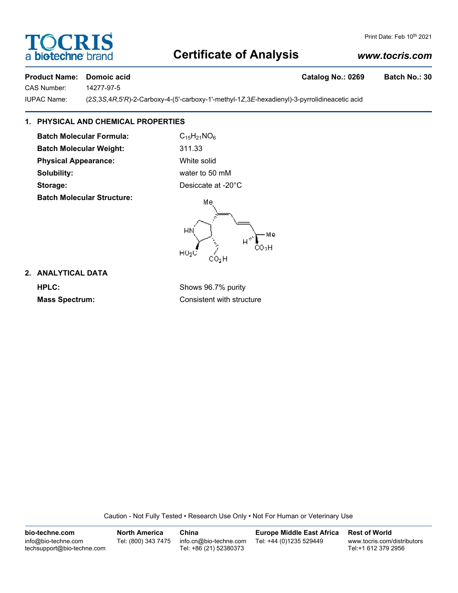# **FOCRIS** a **bio-techne** br

#### Print Date: Feb 10th 2021

# **Certificate of Analysis**

# *www.tocris.com*

### **Product Name: Domoic acid Catalog No.: 0269 Batch No.: 30**

CAS Number: 14277-97-5

IUPAC Name: (2*S*,3*S*,4*R*,5'*R*)-2-Carboxy-4-(5'-carboxy-1'-methyl-1*Z*,3*E*-hexadienyl)-3-pyrrolidineacetic acid

# **1. PHYSICAL AND CHEMICAL PROPERTIES**

**Batch Molecular Formula:** C<sub>15</sub>H<sub>21</sub>NO<sub>6</sub> **Batch Molecular Weight:** 311.33 **Physical Appearance:** White solid **Solubility:** water to 50 mM **Storage:** Desiccate at -20°C **Batch Molecular Structure:**

Mе Mе w  $\overline{a}$ ČO∍H  $HO<sub>2</sub>$ 

## **2. ANALYTICAL DATA**

**HPLC:** Shows 96.7% purity **Mass Spectrum:** Consistent with structure

Caution - Not Fully Tested • Research Use Only • Not For Human or Veterinary Use

**bio-techne.com** info@bio-techne.com techsupport@bio-techne.com **North America** Tel: (800) 343 7475 **China** info.cn@bio-techne.com Tel: +86 (21) 52380373 **Europe Middle East Africa** Tel: +44 (0)1235 529449 **Rest of World** www.tocris.com/distributors Tel:+1 612 379 2956